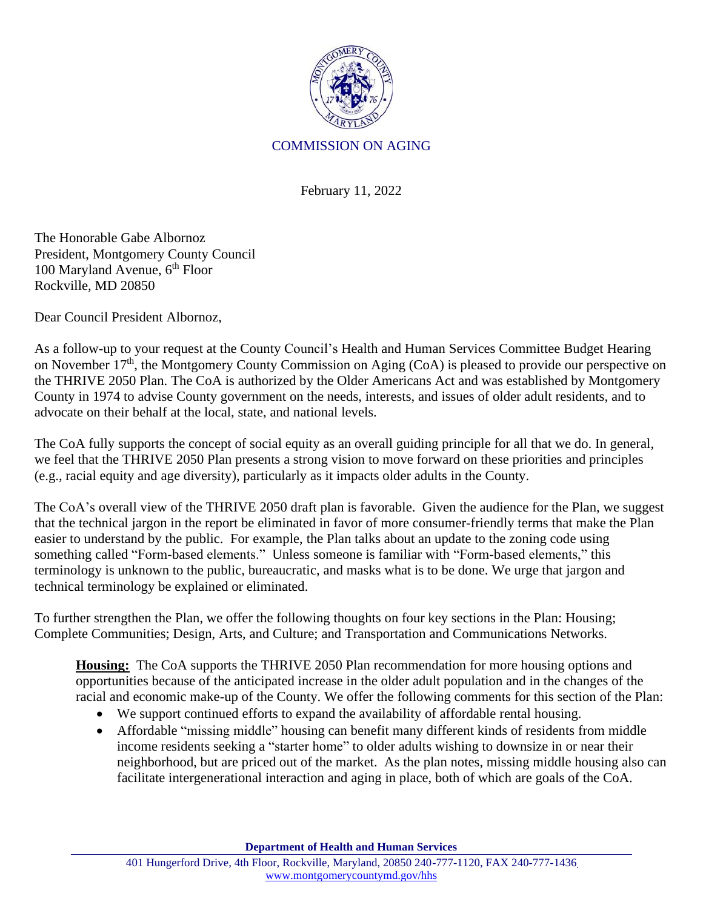

## COMMISSION ON AGING

February 11, 2022

The Honorable Gabe Albornoz President, Montgomery County Council 100 Maryland Avenue, 6<sup>th</sup> Floor Rockville, MD 20850

Dear Council President Albornoz,

As a follow-up to your request at the County Council's Health and Human Services Committee Budget Hearing on November 17<sup>th</sup>, the Montgomery County Commission on Aging (CoA) is pleased to provide our perspective on the THRIVE 2050 Plan. The CoA is authorized by the Older Americans Act and was established by Montgomery County in 1974 to advise County government on the needs, interests, and issues of older adult residents, and to advocate on their behalf at the local, state, and national levels.

The CoA fully supports the concept of social equity as an overall guiding principle for all that we do. In general, we feel that the THRIVE 2050 Plan presents a strong vision to move forward on these priorities and principles (e.g., racial equity and age diversity), particularly as it impacts older adults in the County.

The CoA's overall view of the THRIVE 2050 draft plan is favorable. Given the audience for the Plan, we suggest that the technical jargon in the report be eliminated in favor of more consumer-friendly terms that make the Plan easier to understand by the public. For example, the Plan talks about an update to the zoning code using something called "Form-based elements." Unless someone is familiar with "Form-based elements," this terminology is unknown to the public, bureaucratic, and masks what is to be done. We urge that jargon and technical terminology be explained or eliminated.

To further strengthen the Plan, we offer the following thoughts on four key sections in the Plan: Housing; Complete Communities; Design, Arts, and Culture; and Transportation and Communications Networks.

**Housing:** The CoA supports the THRIVE 2050 Plan recommendation for more housing options and opportunities because of the anticipated increase in the older adult population and in the changes of the racial and economic make-up of the County. We offer the following comments for this section of the Plan:

- We support continued efforts to expand the availability of affordable rental housing.
- Affordable "missing middle" housing can benefit many different kinds of residents from middle income residents seeking a "starter home" to older adults wishing to downsize in or near their neighborhood, but are priced out of the market. As the plan notes, missing middle housing also can facilitate intergenerational interaction and aging in place, both of which are goals of the CoA.

**Department of Health and Human Services**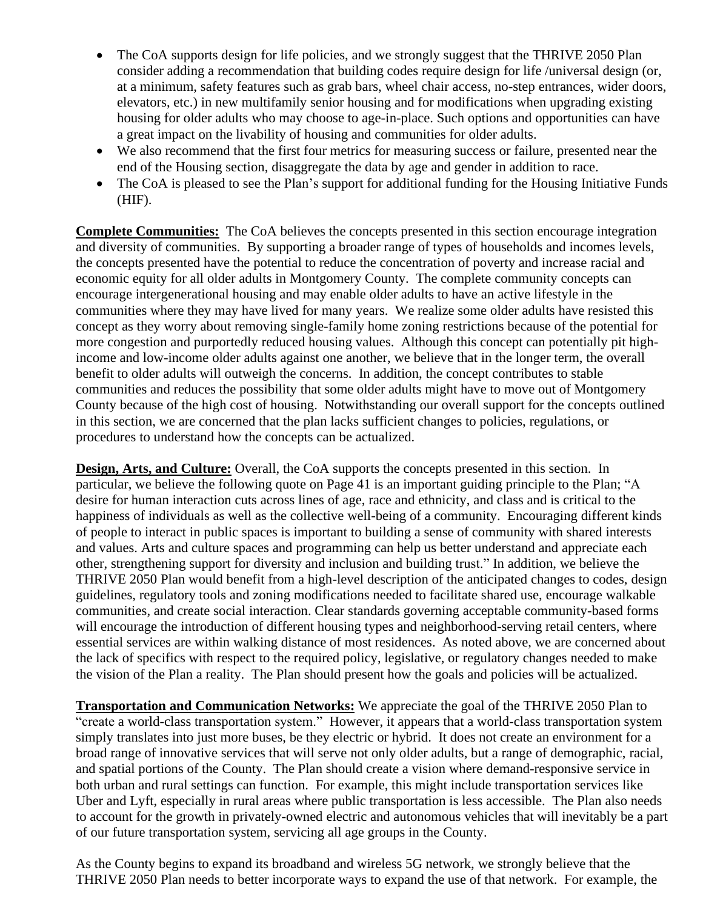- The CoA supports design for life policies, and we strongly suggest that the THRIVE 2050 Plan consider adding a recommendation that building codes require design for life /universal design (or, at a minimum, safety features such as grab bars, wheel chair access, no-step entrances, wider doors, elevators, etc.) in new multifamily senior housing and for modifications when upgrading existing housing for older adults who may choose to age-in-place. Such options and opportunities can have a great impact on the livability of housing and communities for older adults.
- We also recommend that the first four metrics for measuring success or failure, presented near the end of the Housing section, disaggregate the data by age and gender in addition to race.
- The CoA is pleased to see the Plan's support for additional funding for the Housing Initiative Funds (HIF).

**Complete Communities:** The CoA believes the concepts presented in this section encourage integration and diversity of communities. By supporting a broader range of types of households and incomes levels, the concepts presented have the potential to reduce the concentration of poverty and increase racial and economic equity for all older adults in Montgomery County. The complete community concepts can encourage intergenerational housing and may enable older adults to have an active lifestyle in the communities where they may have lived for many years. We realize some older adults have resisted this concept as they worry about removing single-family home zoning restrictions because of the potential for more congestion and purportedly reduced housing values. Although this concept can potentially pit highincome and low-income older adults against one another, we believe that in the longer term, the overall benefit to older adults will outweigh the concerns. In addition, the concept contributes to stable communities and reduces the possibility that some older adults might have to move out of Montgomery County because of the high cost of housing. Notwithstanding our overall support for the concepts outlined in this section, we are concerned that the plan lacks sufficient changes to policies, regulations, or procedures to understand how the concepts can be actualized.

**Design, Arts, and Culture:** Overall, the CoA supports the concepts presented in this section. In particular, we believe the following quote on Page 41 is an important guiding principle to the Plan; "A desire for human interaction cuts across lines of age, race and ethnicity, and class and is critical to the happiness of individuals as well as the collective well-being of a community. Encouraging different kinds of people to interact in public spaces is important to building a sense of community with shared interests and values. Arts and culture spaces and programming can help us better understand and appreciate each other, strengthening support for diversity and inclusion and building trust." In addition, we believe the THRIVE 2050 Plan would benefit from a high-level description of the anticipated changes to codes, design guidelines, regulatory tools and zoning modifications needed to facilitate shared use, encourage walkable communities, and create social interaction. Clear standards governing acceptable community-based forms will encourage the introduction of different housing types and neighborhood-serving retail centers, where essential services are within walking distance of most residences. As noted above, we are concerned about the lack of specifics with respect to the required policy, legislative, or regulatory changes needed to make the vision of the Plan a reality. The Plan should present how the goals and policies will be actualized.

**Transportation and Communication Networks:** We appreciate the goal of the THRIVE 2050 Plan to "create a world-class transportation system." However, it appears that a world-class transportation system simply translates into just more buses, be they electric or hybrid. It does not create an environment for a broad range of innovative services that will serve not only older adults, but a range of demographic, racial, and spatial portions of the County. The Plan should create a vision where demand-responsive service in both urban and rural settings can function. For example, this might include transportation services like Uber and Lyft, especially in rural areas where public transportation is less accessible. The Plan also needs to account for the growth in privately-owned electric and autonomous vehicles that will inevitably be a part of our future transportation system, servicing all age groups in the County.

As the County begins to expand its broadband and wireless 5G network, we strongly believe that the THRIVE 2050 Plan needs to better incorporate ways to expand the use of that network. For example, the